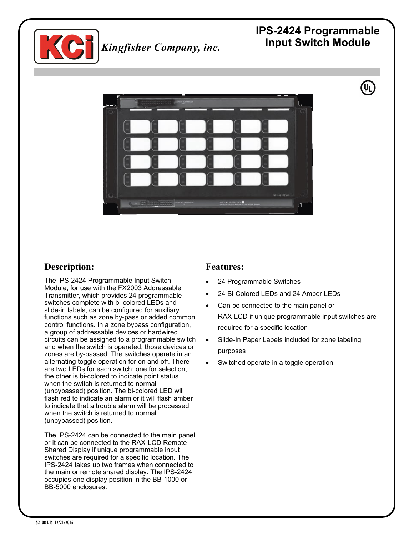

# **IPS-2424 Programmable**



## **Description:**

The IPS-2424 Programmable Input Switch Module, for use with the FX2003 Addressable Transmitter, which provides 24 programmable switches complete with bi-colored LEDs and slide-in labels, can be configured for auxiliary functions such as zone by-pass or added common control functions. In a zone bypass configuration, a group of addressable devices or hardwired circuits can be assigned to a programmable switch and when the switch is operated, those devices or zones are by-passed. The switches operate in an alternating toggle operation for on and off. There are two LEDs for each switch; one for selection, the other is bi-colored to indicate point status when the switch is returned to normal (unbypassed) position. The bi-colored LED will flash red to indicate an alarm or it will flash amber to indicate that a trouble alarm will be processed when the switch is returned to normal (unbypassed) position.

The IPS-2424 can be connected to the main panel or it can be connected to the RAX-LCD Remote Shared Display if unique programmable input switches are required for a specific location. The IPS-2424 takes up two frames when connected to the main or remote shared display. The IPS-2424 occupies one display position in the BB-1000 or BB-5000 enclosures.

#### **Features:**

- 24 Programmable Switches
- 24 Bi-Colored LEDs and 24 Amber LEDs
- Can be connected to the main panel or RAX-LCD if unique programmable input switches are required for a specific location
- Slide-In Paper Labels included for zone labeling purposes
- Switched operate in a toggle operation